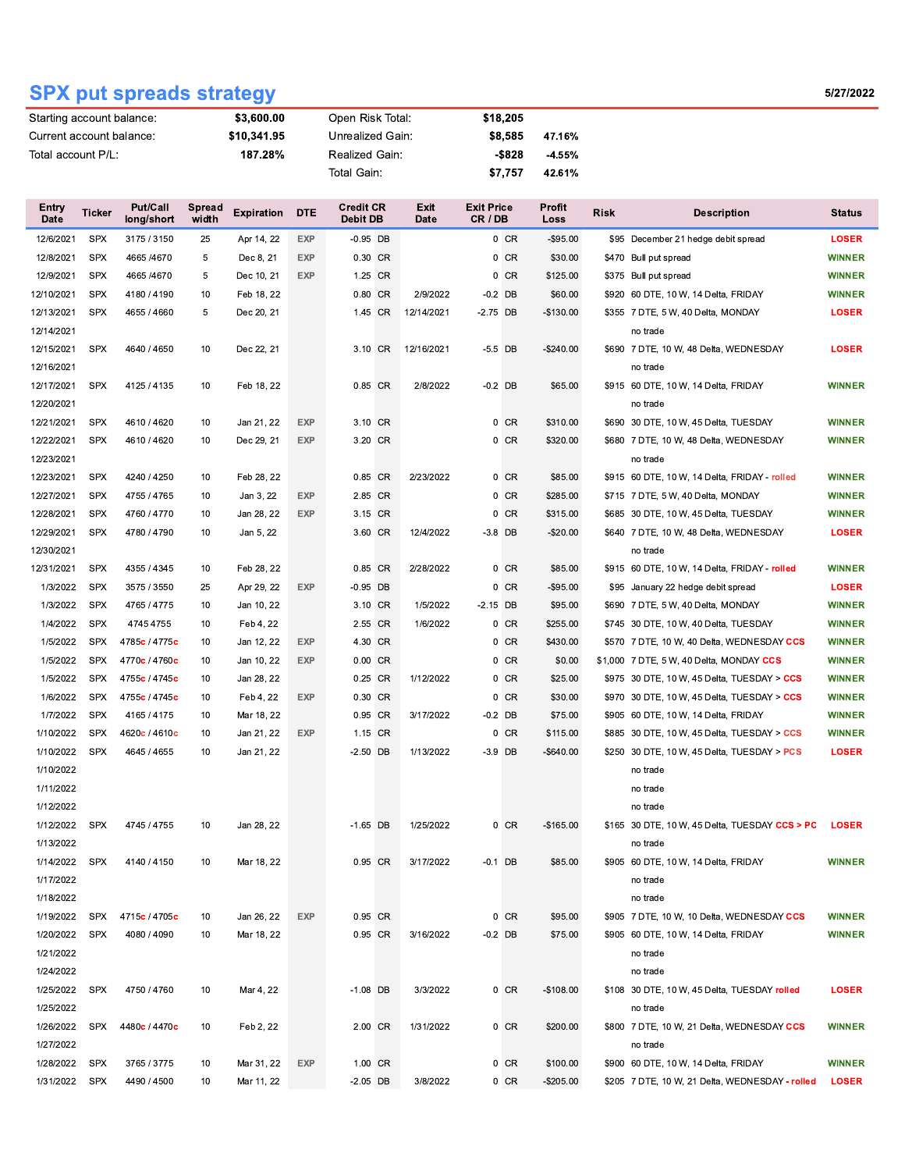## SPX put spreads strategy

| Starting account balance: | \$3,600.00  | Open Risk Total: | \$18,205  |          |
|---------------------------|-------------|------------------|-----------|----------|
| Current account balance:  | \$10,341.95 | Unrealized Gain: | \$8,585   | 47.16%   |
| Total account P/L:        | 187.28%     | Realized Gain:   | $-$ \$828 | $-4.55%$ |
|                           |             | Total Gain:      | \$7.757   | 42.61%   |
|                           |             |                  |           |          |

| Entry<br>Date          | Ticker     | Put/Call<br>long/short | Spread<br>width | Expiration | <b>DTE</b> | Credit CR<br><b>Debit DB</b> | Exit<br>Date | <b>Exit Price</b><br>CR/DB | Profit<br>Loss | <b>Risk</b> | <b>Description</b>                                     | <b>Status</b> |
|------------------------|------------|------------------------|-----------------|------------|------------|------------------------------|--------------|----------------------------|----------------|-------------|--------------------------------------------------------|---------------|
| 12/6/2021              | <b>SPX</b> | 3175 / 3150            | 25              | Apr 14, 22 | <b>EXP</b> | $-0.95$ DB                   |              | $0$ CR                     | $-$95.00$      |             | \$95 December 21 hedge debit spread                    | <b>LOSER</b>  |
| 12/8/2021              | <b>SPX</b> | 4665 / 4670            | 5               | Dec 8, 21  | <b>EXP</b> | 0.30 CR                      |              | $0$ CR                     | \$30.00        |             | \$470 Bull put spread                                  | <b>WINNER</b> |
| 12/9/2021              | <b>SPX</b> | 4665 / 4670            | 5               | Dec 10, 21 | <b>EXP</b> | 1.25 CR                      |              | $0$ CR                     | \$125.00       |             | \$375 Bull put spread                                  | <b>WINNER</b> |
| 12/10/2021             | <b>SPX</b> | 4180 / 4190            | 10              | Feb 18, 22 |            | 0.80 CR                      | 2/9/2022     | $-0.2$ DB                  | \$60.00        |             | \$920 60 DTE, 10 W, 14 Delta, FRIDAY                   | <b>WINNER</b> |
| 12/13/2021             | <b>SPX</b> | 4655 / 4660            | 5               | Dec 20, 21 |            | 1.45 CR                      | 12/14/2021   | -2.75 DB                   | $-$130.00$     |             | \$355 7 DTE, 5 W, 40 Delta, MONDAY                     | <b>LOSER</b>  |
| 12/14/2021             |            |                        |                 |            |            |                              |              |                            |                |             | no trade                                               |               |
| 12/15/2021             | <b>SPX</b> | 4640 / 4650            | 10              | Dec 22, 21 |            | 3.10 CR                      | 12/16/2021   | $-5.5$ DB                  | $-$240.00$     |             | \$690 7 DTE, 10 W, 48 Delta, WEDNESDAY                 | <b>LOSER</b>  |
| 12/16/2021             |            |                        |                 |            |            |                              |              |                            |                |             | no trade                                               |               |
| 12/17/2021             | <b>SPX</b> | 4125 / 4135            | 10              | Feb 18, 22 |            | 0.85 CR                      | 2/8/2022     | $-0.2$ DB                  | \$65.00        |             | \$915 60 DTE, 10 W, 14 Delta, FRIDAY                   | <b>WINNER</b> |
| 12/20/2021             |            |                        |                 |            |            |                              |              |                            |                |             | no trade                                               |               |
| 12/21/2021             | <b>SPX</b> | 4610 / 4620            | 10              | Jan 21, 22 | <b>EXP</b> | 3.10 CR                      |              | $0$ CR                     | \$310.00       |             | \$690 30 DTE, 10 W, 45 Delta, TUESDAY                  | <b>WINNER</b> |
| 12/22/2021             | <b>SPX</b> | 4610 / 4620            | 10              | Dec 29, 21 | <b>EXP</b> | 3.20 CR                      |              | $0$ CR                     | \$320.00       |             | \$680 7 DTE, 10 W, 48 Delta, WEDNESDAY                 | <b>WINNER</b> |
| 12/23/2021             |            |                        |                 |            |            |                              |              |                            |                |             | no trade                                               |               |
| 12/23/2021             | <b>SPX</b> | 4240 / 4250            | 10              | Feb 28, 22 |            | 0.85 CR                      | 2/23/2022    | $0$ CR                     | \$85.00        |             | \$915 60 DTE, 10 W, 14 Delta, FRIDAY - rolled          | <b>WINNER</b> |
| 12/27/2021             | <b>SPX</b> | 4755 / 4765            | 10              | Jan 3, 22  | <b>EXP</b> | 2.85 CR                      |              | $0$ CR                     | \$285.00       |             | \$715 7 DTE, 5 W, 40 Delta, MONDAY                     | <b>WINNER</b> |
| 12/28/2021             | <b>SPX</b> | 4760 / 4770            | 10              | Jan 28, 22 | <b>EXP</b> | 3.15 CR                      |              | 0 CR                       | \$315.00       |             | \$685 30 DTE, 10 W, 45 Delta, TUESDAY                  | <b>WINNER</b> |
| 12/29/2021             | <b>SPX</b> | 4780 / 4790            | 10              | Jan 5, 22  |            | 3.60 CR                      | 12/4/2022    | $-3.8$ DB                  | $-$20.00$      |             | \$640 7 DTE, 10 W, 48 Delta, WEDNESDAY                 | <b>LOSER</b>  |
| 12/30/2021             |            |                        |                 |            |            |                              |              |                            |                |             | no trade                                               |               |
| 12/31/2021             | <b>SPX</b> | 4355 / 4345            | 10              | Feb 28, 22 |            | 0.85 CR                      | 2/28/2022    | $0$ CR                     | \$85.00        |             | \$915 60 DTE, 10 W, 14 Delta, FRIDAY - rolled          | <b>WINNER</b> |
| 1/3/2022               | <b>SPX</b> | 3575 / 3550            | 25              | Apr 29, 22 | <b>EXP</b> | $-0.95$ DB                   |              | 0 CR                       | $-$95.00$      |             | \$95 January 22 hedge debit spread                     | <b>LOSER</b>  |
| 1/3/2022               | <b>SPX</b> | 4765 / 4775            | 10              | Jan 10, 22 |            | 3.10 CR                      | 1/5/2022     | $-2.15$ DB                 | \$95.00        |             | \$690 7 DTE, 5 W, 40 Delta, MONDAY                     | <b>WINNER</b> |
| 1/4/2022               | <b>SPX</b> | 4745 4755              | 10              | Feb 4, 22  |            | 2.55 CR                      | 1/6/2022     | $0$ CR                     | \$255.00       |             | \$745 30 DTE, 10 W, 40 Delta, TUESDAY                  | <b>WINNER</b> |
| 1/5/2022               | <b>SPX</b> | 4785c / 4775c          | 10              | Jan 12, 22 | <b>EXP</b> | 4.30 CR                      |              | $0$ CR                     | \$430.00       |             | \$570 7 DTE, 10 W, 40 Delta, WEDNESDAY CCS             | <b>WINNER</b> |
| 1/5/2022               | <b>SPX</b> | 4770c / 4760c          | 10              | Jan 10, 22 | <b>EXP</b> | $0.00$ CR                    |              | $0$ CR                     | \$0.00         |             | \$1,000 7 DTE, 5 W, 40 Delta, MONDAY CCS               | <b>WINNER</b> |
| 1/5/2022               | <b>SPX</b> | 4755c / 4745c          | 10              | Jan 28, 22 |            | 0.25 CR                      | 1/12/2022    | $0$ CR                     | \$25.00        |             | \$975 30 DTE, 10 W, 45 Delta, TUESDAY > CCS            | <b>WINNER</b> |
| 1/6/2022               | <b>SPX</b> | 4755c / 4745c          | 10              | Feb 4, 22  | <b>EXP</b> | 0.30 CR                      |              | $0$ CR                     | \$30.00        |             | \$970 30 DTE, 10 W, 45 Delta, TUESDAY > CCS            | <b>WINNER</b> |
| 1/7/2022               | <b>SPX</b> | 4165 / 4175            | 10              | Mar 18, 22 |            | 0.95 CR                      | 3/17/2022    | $-0.2$ DB                  | \$75.00        |             | \$905 60 DTE, 10 W, 14 Delta, FRIDAY                   | <b>WINNER</b> |
| 1/10/2022              | <b>SPX</b> | 4620c / 4610c          | 10              | Jan 21, 22 | <b>EXP</b> | 1.15 CR                      |              | $0$ CR                     | \$115.00       |             | \$885 30 DTE, 10 W, 45 Delta, TUESDAY > CCS            | <b>WINNER</b> |
| 1/10/2022              | <b>SPX</b> | 4645 / 4655            | 10              | Jan 21, 22 |            | $-2.50$ DB                   | 1/13/2022    | $-3.9$ DB                  | $-$ \$640.00   |             | \$250 30 DTE, 10 W, 45 Delta, TUESDAY > PCS            | <b>LOSER</b>  |
| 1/10/2022              |            |                        |                 |            |            |                              |              |                            |                |             | no trade                                               |               |
| 1/11/2022              |            |                        |                 |            |            |                              |              |                            |                |             | no trade                                               |               |
| 1/12/2022              |            |                        |                 |            |            |                              |              |                            |                |             | no trade                                               |               |
| 1/12/2022              | SPX        | 4745 / 4755            | 10              | Jan 28, 22 |            | $-1.65$ DB                   | 1/25/2022    | 0 CR                       | $-$165.00$     |             | \$165 30 DTE, 10 W, 45 Delta, TUESDAY CCS > PC         | <b>LOSER</b>  |
| 1/13/2022              |            |                        |                 |            |            |                              |              |                            |                |             | no trade                                               |               |
| 1/14/2022              | SPX        | 4140 / 4150            | 10              | Mar 18, 22 |            | 0.95 CR                      | 3/17/2022    | $-0.1$ DB                  | \$85.00        |             | \$905 60 DTE, 10 W, 14 Delta, FRIDAY                   | <b>WINNER</b> |
| 1/17/2022              |            |                        |                 |            |            |                              |              |                            |                |             | no trade                                               |               |
| 1/18/2022              |            |                        |                 |            |            |                              |              |                            |                |             | no trade                                               |               |
| 1/19/2022              | SPX        | 4715c / 4705c          | 10              | Jan 26, 22 | <b>EXP</b> | 0.95 CR                      |              | $0$ CR                     | \$95.00        |             | \$905 7 DTE, 10 W, 10 Delta, WEDNESDAY CCS             | <b>WINNER</b> |
| 1/20/2022              | <b>SPX</b> | 4080 / 4090            | 10              | Mar 18, 22 |            | 0.95 CR                      | 3/16/2022    | $-0.2$ DB                  | \$75.00        |             | \$905 60 DTE, 10 W, 14 Delta, FRIDAY                   | <b>WINNER</b> |
| 1/21/2022              |            |                        |                 |            |            |                              |              |                            |                |             | no trade                                               |               |
| 1/24/2022<br>1/25/2022 |            |                        |                 |            |            |                              |              |                            | $-$108.00$     |             | no trade                                               |               |
| 1/25/2022              | SPX        | 4750 / 4760            | 10              | Mar 4, 22  |            | $-1.08$ DB                   | 3/3/2022     | $0$ CR                     |                |             | \$108 30 DTE, 10 W, 45 Delta, TUESDAY rolled           | <b>LOSER</b>  |
| 1/26/2022              |            | 4480c / 4470c          | 10              | Feb 2, 22  |            | 2.00 CR                      | 1/31/2022    |                            | \$200.00       |             | no trade<br>\$800 7 DTE, 10 W, 21 Delta, WEDNESDAY CCS | <b>WINNER</b> |
| 1/27/2022              | SPX        |                        |                 |            |            |                              |              | $0$ CR                     |                |             |                                                        |               |
|                        |            |                        |                 |            |            |                              |              |                            |                |             | no trade<br>\$900 60 DTE, 10 W, 14 Delta, FRIDAY       |               |
| 1/28/2022              | SPX        | 3765 / 3775            | 10              | Mar 31, 22 | EXP        | 1.00 CR                      |              | $0$ CR                     | \$100.00       |             |                                                        | <b>WINNER</b> |
| 1/31/2022              | SPX        | 4490 / 4500            | 10              | Mar 11, 22 |            | $-2.05$ DB                   | 3/8/2022     | $0$ CR                     | $-$205.00$     |             | \$205 7 DTE, 10 W, 21 Delta, WEDNESDAY - rolled        | <b>LOSER</b>  |

5/27/2022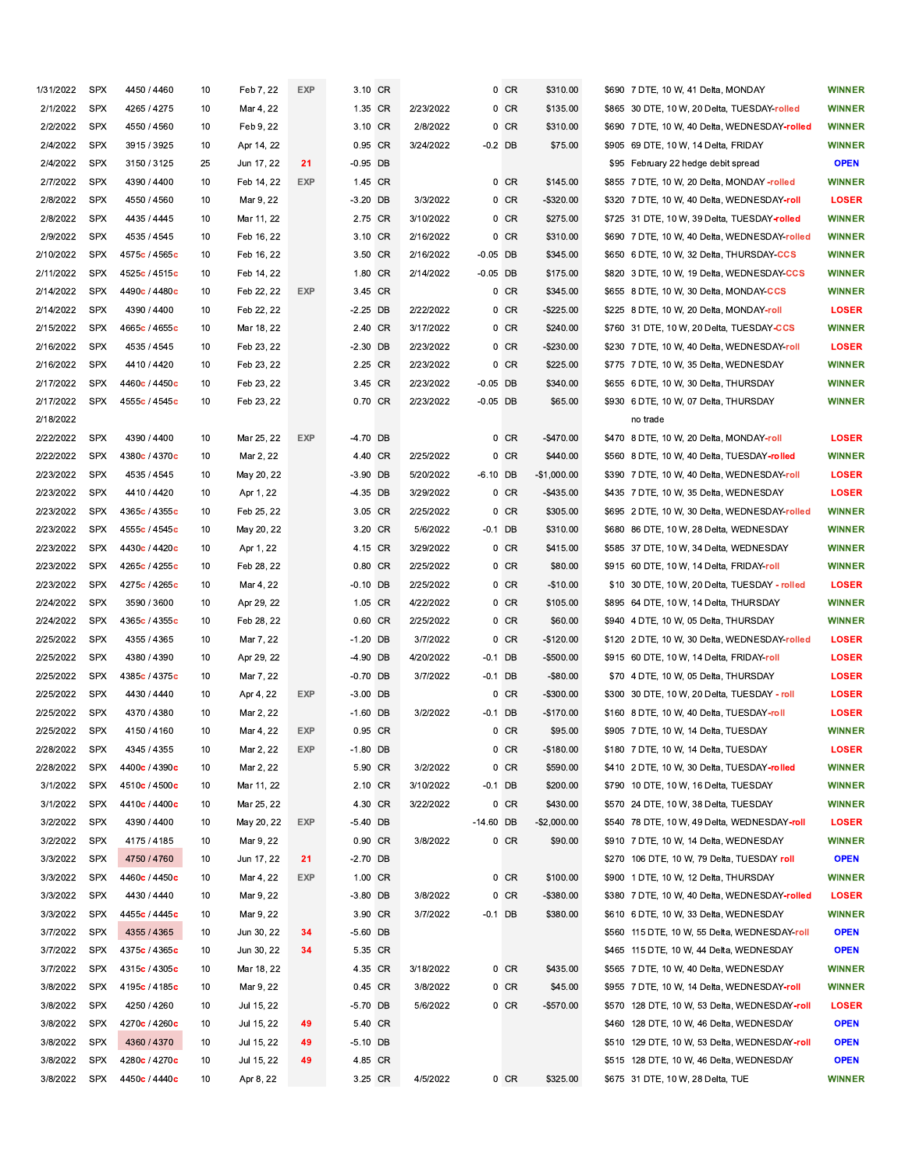| 1/31/2022 | <b>SPX</b> | 4450 / 4460                | 10 | Feb 7, 22  | <b>EXP</b> | 3.10 CR    |           |             | $0$ CR    | \$310.00     | \$690 7 DTE, 10 W, 41 Delta, MONDAY                          | <b>WINNER</b> |
|-----------|------------|----------------------------|----|------------|------------|------------|-----------|-------------|-----------|--------------|--------------------------------------------------------------|---------------|
| 2/1/2022  | <b>SPX</b> | 4265 / 4275                | 10 | Mar 4, 22  |            | 1.35 CR    | 2/23/2022 |             | $0$ CR    | \$135.00     | \$865  30 DTE, 10 W, 20 Delta, TUESDAY-rolled                | <b>WINNER</b> |
| 2/2/2022  | <b>SPX</b> | 4550 / 4560                | 10 | Feb 9, 22  |            | 3.10 CR    | 2/8/2022  |             | $0$ CR    | \$310.00     | \$690 7 DTE, 10 W, 40 Delta, WEDNESDAY <b>-rolled</b>        | <b>WINNER</b> |
| 2/4/2022  | <b>SPX</b> | 3915 / 3925                | 10 | Apr 14, 22 |            | 0.95 CR    | 3/24/2022 |             | -0.2 DB   | \$75.00      | \$905 69 DTE, 10 W, 14 Delta, FRIDAY                         | <b>WINNER</b> |
| 2/4/2022  | <b>SPX</b> | 3150 / 3125                | 25 | Jun 17, 22 | 21         | $-0.95$ DB |           |             |           |              | \$95 February 22 hedge debit spread                          | <b>OPEN</b>   |
| 2/7/2022  | <b>SPX</b> | 4390 / 4400                | 10 | Feb 14, 22 | <b>EXP</b> | 1.45 CR    |           |             | $0$ CR    | \$145.00     | \$855 7 DTE, 10 W, 20 Delta, MONDAY -rolled                  | <b>WINNER</b> |
| 2/8/2022  | <b>SPX</b> | 4550 / 4560                | 10 | Mar 9, 22  |            | $-3.20$ DB | 3/3/2022  |             | $0$ CR    | $-$320.00$   | \$320 7 DTE, 10 W, 40 Delta, WEDNESDAY-roll                  | <b>LOSER</b>  |
| 2/8/2022  | <b>SPX</b> | 4435 / 4445                | 10 | Mar 11, 22 |            | 2.75 CR    | 3/10/2022 |             | $0$ CR    | \$275.00     |                                                              | <b>WINNER</b> |
| 2/9/2022  | <b>SPX</b> | 4535 / 4545                | 10 | Feb 16, 22 |            | 3.10 CR    | 2/16/2022 |             | 0 CR      | \$310.00     | \$690 7 DTE, 10 W, 40 Delta, WEDNESDAY-rolled                | <b>WINNER</b> |
| 2/10/2022 | <b>SPX</b> | 4575c / 4565c              | 10 | Feb 16, 22 |            | 3.50 CR    | 2/16/2022 | $-0.05$ DB  |           | \$345.00     | \$650 6 DTE, 10 W, 32 Delta, THURSDAY-CCS                    | <b>WINNER</b> |
| 2/11/2022 | <b>SPX</b> | 4525c / 4515c              | 10 | Feb 14, 22 |            | 1.80 CR    | 2/14/2022 | $-0.05$ DB  |           | \$175.00     | \$820 3 DTE, 10 W, 19 Delta, WEDNESDAY-CCS                   | <b>WINNER</b> |
| 2/14/2022 | <b>SPX</b> | 4490c / 4480c              | 10 | Feb 22, 22 | <b>EXP</b> | 3.45 CR    |           |             | $0$ CR    | \$345.00     | \$655 8 DTE, 10 W, 30 Delta, MONDAY-CCS                      | <b>WINNER</b> |
| 2/14/2022 | <b>SPX</b> | 4390 / 4400                | 10 | Feb 22, 22 |            | $-2.25$ DB | 2/22/2022 |             | 0 CR      | $-$225.00$   | \$225 8 DTE, 10 W, 20 Delta, MONDAY-roll                     | <b>LOSER</b>  |
| 2/15/2022 | <b>SPX</b> | 4665c / 4655c              | 10 | Mar 18, 22 |            | 2.40 CR    | 3/17/2022 |             | $0$ CR    | \$240.00     | \$760 31 DTE, 10 W, 20 Delta, TUESDAY-CCS                    | <b>WINNER</b> |
| 2/16/2022 | <b>SPX</b> | 4535 / 4545                | 10 | Feb 23, 22 |            | $-2.30$ DB | 2/23/2022 |             | 0 CR      | $-$230.00$   | \$230 7 DTE, 10 W, 40 Delta, WEDNESDAY-roll                  | <b>LOSER</b>  |
| 2/16/2022 | <b>SPX</b> | 4410 / 4420                | 10 | Feb 23, 22 |            | 2.25 CR    | 2/23/2022 |             | $0$ CR    | \$225.00     | \$775 7 DTE, 10 W, 35 Delta, WEDNESDAY                       | <b>WINNER</b> |
| 2/17/2022 | <b>SPX</b> | 4460c / 4450c              | 10 | Feb 23, 22 |            | 3.45 CR    | 2/23/2022 | $-0.05$ DB  |           | \$340.00     | \$655 6 DTE, 10 W, 30 Delta, THURSDAY                        | <b>WINNER</b> |
| 2/17/2022 | <b>SPX</b> | 4555c / 4545c              | 10 | Feb 23, 22 |            | 0.70 CR    | 2/23/2022 | $-0.05$ DB  |           | \$65.00      | \$930 6 DTE, 10 W, 07 Delta, THURSDAY                        | <b>WINNER</b> |
| 2/18/2022 |            |                            |    |            |            |            |           |             |           |              | no trade                                                     |               |
| 2/22/2022 | <b>SPX</b> | 4390 / 4400                | 10 | Mar 25, 22 | <b>EXP</b> | -4.70 DB   |           |             | $0$ CR    | -\$470.00    | \$470   8 DTE, 10 W, 20 Delta, MONDAY-roll                   | <b>LOSER</b>  |
| 2/22/2022 | <b>SPX</b> | 4380c / 4370c              | 10 | Mar 2, 22  |            | 4.40 CR    | 2/25/2022 |             | 0 CR      | \$440.00     | \$560 8 DTE, 10 W, 40 Delta, TUESDAY <b>-rolled</b>          | <b>WINNER</b> |
| 2/23/2022 | <b>SPX</b> | 4535 / 4545                | 10 | May 20, 22 |            | $-3.90$ DB | 5/20/2022 | $-6.10$ DB  |           | $-$1,000.00$ | \$390 7 DTE, 10 W, 40 Delta, WEDNESDAY-roll                  | <b>LOSER</b>  |
| 2/23/2022 | <b>SPX</b> | 4410 / 4420                | 10 | Apr 1, 22  |            | $-4.35$ DB | 3/29/2022 |             | $0$ CR    | -\$435.00    | \$435 7 DTE, 10 W, 35 Delta, WEDNESDAY                       | <b>LOSER</b>  |
| 2/23/2022 | SPX        | 4365c / 4355c              | 10 | Feb 25, 22 |            | 3.05 CR    | 2/25/2022 |             | $0$ CR    | \$305.00     | \$695 2 DTE, 10 W, 30 Delta, WEDNESDAY-rolled                | <b>WINNER</b> |
| 2/23/2022 | <b>SPX</b> | 4555c / 4545c              | 10 | May 20, 22 |            | 3.20 CR    | 5/6/2022  | -0.1 DB     |           | \$310.00     | \$680 86 DTE, 10 W, 28 Delta, WEDNESDAY                      | <b>WINNER</b> |
| 2/23/2022 | <b>SPX</b> | 4430c / 4420c              | 10 | Apr 1, 22  |            | 4.15 CR    | 3/29/2022 |             | $0$ CR    | \$415.00     | \$585 37 DTE, 10 W, 34 Delta, WEDNESDAY                      | <b>WINNER</b> |
| 2/23/2022 | <b>SPX</b> | 4265c / 4255c              | 10 | Feb 28, 22 |            | 0.80 CR    | 2/25/2022 |             | $0$ CR    | \$80.00      | \$915 60 DTE, 10 W, 14 Delta, FRIDAY-roll                    | <b>WINNER</b> |
| 2/23/2022 | <b>SPX</b> | 4275c / 4265c              | 10 | Mar 4, 22  |            | $-0.10$ DB | 2/25/2022 |             | $0$ CR    | $-$10.00$    | \$10 30 DTE, 10 W, 20 Delta, TUESDAY - rolled                | <b>LOSER</b>  |
| 2/24/2022 | <b>SPX</b> | 3590 / 3600                | 10 | Apr 29, 22 |            | 1.05 CR    | 4/22/2022 |             | $0$ CR    | \$105.00     | \$895 64 DTE, 10 W, 14 Delta, THURSDAY                       | <b>WINNER</b> |
| 2/24/2022 | <b>SPX</b> | 4365c / 4355c              | 10 | Feb 28, 22 |            | 0.60 CR    | 2/25/2022 |             | $0$ CR    | \$60.00      | \$940 4 DTE, 10 W, 05 Delta, THURSDAY                        | <b>WINNER</b> |
| 2/25/2022 | <b>SPX</b> | 4355 / 4365                | 10 | Mar 7, 22  |            | $-1.20$ DB | 3/7/2022  |             | $0$ CR    | $-$120.00$   | \$120  2 DTE, 10 W, 30 Delta, WEDNESDAY- <mark>rolled</mark> | <b>LOSER</b>  |
| 2/25/2022 | <b>SPX</b> | 4380 / 4390                | 10 | Apr 29, 22 |            | -4.90 DB   | 4/20/2022 |             | -0.1 DB   | $-$500.00$   | \$915 60 DTE, 10 W, 14 Delta, FRIDAY-roll                    | <b>LOSER</b>  |
| 2/25/2022 | <b>SPX</b> | 4385c / 4375c              | 10 | Mar 7, 22  |            | $-0.70$ DB | 3/7/2022  | -0.1 DB     |           | $-$80.00$    | \$70 4 DTE, 10 W, 05 Delta, THURSDAY                         | <b>LOSER</b>  |
| 2/25/2022 | <b>SPX</b> | 4430 / 4440                | 10 | Apr 4, 22  | EXP        | $-3.00$ DB |           |             | $0$ CR    | $-$300.00$   | \$300 30 DTE, 10 W, 20 Delta, TUESDAY - roll                 | <b>LOSER</b>  |
|           | <b>SPX</b> |                            |    |            |            |            |           |             |           |              |                                                              | <b>LOSER</b>  |
| 2/25/2022 |            | 4370 / 4380<br>4150 / 4160 | 10 | Mar 2, 22  |            | $-1.60$ DB | 3/2/2022  |             | -0.1 DB   | $-$170.00$   | \$160   8 DTE, 10 W, 40 Delta, TUESDAY-roll                  |               |
| 2/25/2022 | <b>SPX</b> |                            | 10 | Mar 4, 22  | EXP        | 0.95 CR    |           |             | $0$ CR    | \$95.00      | \$905 7 DTE, 10 W, 14 Delta, TUESDAY                         | <b>WINNER</b> |
| 2/28/2022 | SPX        | 4345 / 4355                | 10 | Mar 2, 22  | EXP        | $-1.80$ DB |           |             | $0$ CR    | $-$180.00$   | \$180 7 DTE, 10 W, 14 Delta, TUESDAY                         | <b>LOSER</b>  |
| 2/28/2022 | <b>SPX</b> | 4400c / 4390c              | 10 | Mar 2, 22  |            | 5.90 CR    | 3/2/2022  |             | $0$ CR    | \$590.00     | \$410 2 DTE, 10 W, 30 Delta, TUESDAY-rolled                  | <b>WINNER</b> |
| 3/1/2022  | <b>SPX</b> | 4510c / 4500c              | 10 | Mar 11, 22 |            | 2.10 CR    | 3/10/2022 |             | -0.1 DB   | \$200.00     | \$790 10 DTE, 10 W, 16 Delta, TUESDAY                        | <b>WINNER</b> |
| 3/1/2022  | <b>SPX</b> | 4410c / 4400c              | 10 | Mar 25, 22 |            | 4.30 CR    | 3/22/2022 |             | $0$ CR    | \$430.00     | \$570 24 DTE, 10 W, 38 Delta, TUESDAY                        | <b>WINNER</b> |
| 3/2/2022  | <b>SPX</b> | 4390 / 4400                | 10 | May 20, 22 | <b>EXP</b> | $-5.40$ DB |           | $-14.60$ DB |           | -\$2,000.00  | \$540 78 DTE, 10 W, 49 Delta, WEDNESDAY-roll                 | <b>LOSER</b>  |
| 3/2/2022  | <b>SPX</b> | 4175 / 4185                | 10 | Mar 9, 22  |            | 0.90 CR    | 3/8/2022  |             | $0$ CR    | \$90.00      | \$910 7 DTE, 10 W, 14 Delta, WEDNESDAY                       | <b>WINNER</b> |
| 3/3/2022  | <b>SPX</b> | 4750 / 4760                | 10 | Jun 17, 22 | 21         | $-2.70$ DB |           |             |           |              |                                                              | <b>OPEN</b>   |
| 3/3/2022  | SPX        | 4460c / 4450c              | 10 | Mar 4, 22  | <b>EXP</b> | 1.00 CR    |           |             | $0$ CR    | \$100.00     | \$900 1 DTE, 10 W, 12 Delta, THURSDAY                        | <b>WINNER</b> |
| 3/3/2022  | <b>SPX</b> | 4430 / 4440                | 10 | Mar 9, 22  |            | $-3.80$ DB | 3/8/2022  |             | $0$ CR    | -\$380.00    | \$380 7 DTE, 10 W, 40 Delta, WEDNESDAY-rolled                | <b>LOSER</b>  |
| 3/3/2022  | SPX        | 4455c / 4445c              | 10 | Mar 9, 22  |            | 3.90 CR    | 3/7/2022  |             | $-0.1$ DB | \$380.00     | \$610 6 DTE, 10 W, 33 Delta, WEDNESDAY                       | <b>WINNER</b> |
| 3/7/2022  | <b>SPX</b> | 4355 / 4365                | 10 | Jun 30, 22 | 34         | $-5.60$ DB |           |             |           |              | \$560 115 DTE, 10 W, 55 Delta, WEDNESDAY-roll                | <b>OPEN</b>   |
| 3/7/2022  | SPX        | 4375c / 4365c              | 10 | Jun 30, 22 | 34         | 5.35 CR    |           |             |           |              | \$465 115 DTE, 10 W, 44 Delta, WEDNESDAY                     | <b>OPEN</b>   |
| 3/7/2022  | <b>SPX</b> | 4315c / 4305c              | 10 | Mar 18, 22 |            | 4.35 CR    | 3/18/2022 |             | $0$ CR    | \$435.00     | \$565 7 DTE, 10 W, 40 Delta, WEDNESDAY                       | <b>WINNER</b> |
| 3/8/2022  | <b>SPX</b> | 4195c / 4185c              | 10 | Mar 9, 22  |            | 0.45 CR    | 3/8/2022  |             | $0$ CR    | \$45.00      | \$955 7 DTE, 10 W, 14 Delta, WEDNESDAY-roll                  | <b>WINNER</b> |
| 3/8/2022  | <b>SPX</b> | 4250 / 4260                | 10 | Jul 15, 22 |            | $-5.70$ DB | 5/6/2022  |             | $0$ CR    | $-$570.00$   |                                                              | LOSER         |
| 3/8/2022  | SPX        | 4270c / 4260c              | 10 | Jul 15, 22 | 49         | 5.40 CR    |           |             |           |              | \$460 128 DTE, 10 W, 46 Delta, WEDNESDAY                     | <b>OPEN</b>   |
| 3/8/2022  | <b>SPX</b> | 4360 / 4370                | 10 | Jul 15, 22 | 49         | $-5.10$ DB |           |             |           |              | \$510 129 DTE, 10 W, 53 Delta, WEDNESDAY-roll                | <b>OPEN</b>   |
| 3/8/2022  | <b>SPX</b> | 4280c / 4270c              | 10 | Jul 15, 22 | 49         | 4.85 CR    |           |             |           |              | \$515 128 DTE, 10 W, 46 Delta, WEDNESDAY                     | <b>OPEN</b>   |
| 3/8/2022  | <b>SPX</b> | 4450c / 4440c              | 10 | Apr 8, 22  |            | 3.25 CR    | 4/5/2022  |             | $0$ CR    | \$325.00     | \$675  31 DTE, 10 W, 28 Delta, TUE                           | <b>WINNER</b> |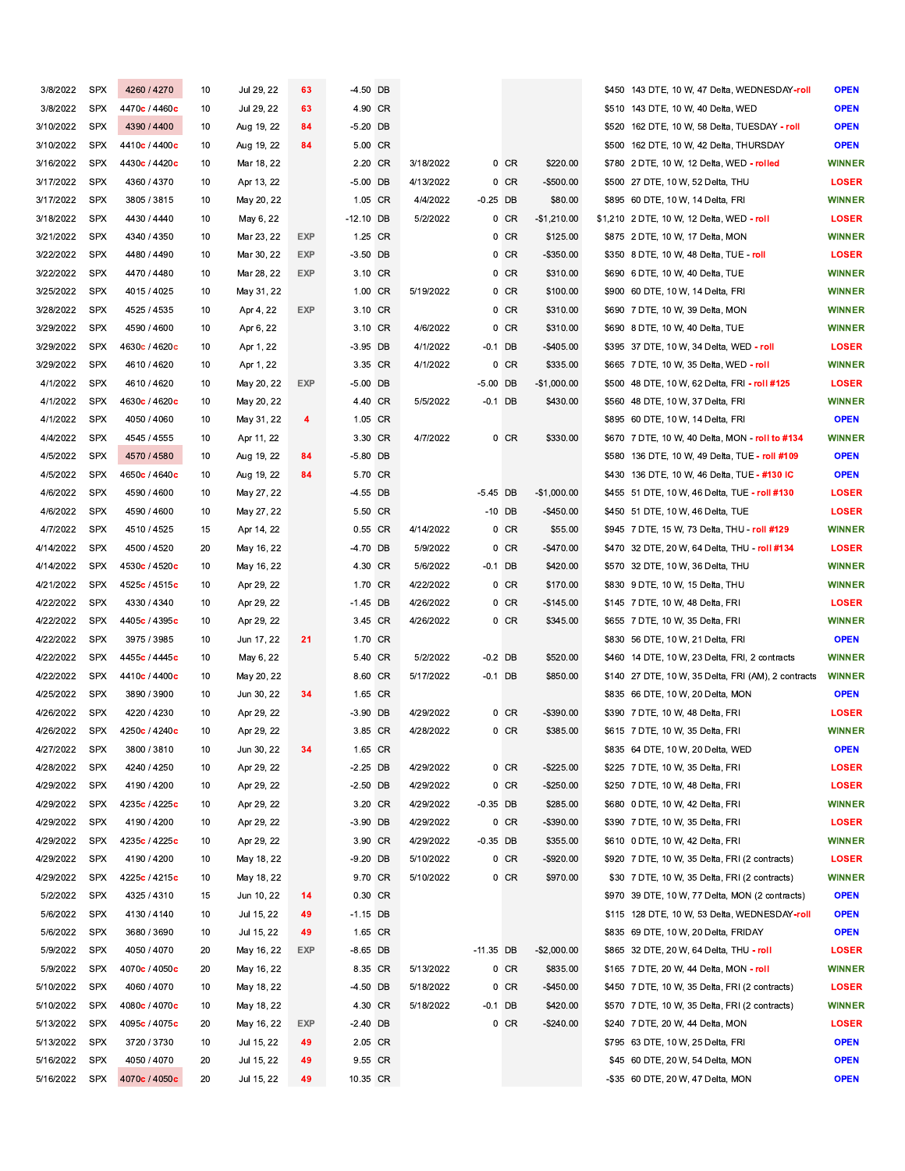| 3/8/2022  | <b>SPX</b> | 4260 / 4270   | 10 | Jul 29, 22 | 63         | $-4.50$ DB  |           |             |              | \$450 143 DTE, 10 W, 47 Delta, WEDNESDAY-roll       | <b>OPEN</b>   |
|-----------|------------|---------------|----|------------|------------|-------------|-----------|-------------|--------------|-----------------------------------------------------|---------------|
| 3/8/2022  | <b>SPX</b> | 4470c / 4460c | 10 | Jul 29, 22 | 63         | 4.90 CR     |           |             |              | \$510 143 DTE, 10 W, 40 Delta, WED                  | <b>OPEN</b>   |
| 3/10/2022 | <b>SPX</b> | 4390 / 4400   | 10 | Aug 19, 22 | 84         | $-5.20$ DB  |           |             |              | \$520 162 DTE, 10 W, 58 Delta, TUESDAY - roll       | <b>OPEN</b>   |
| 3/10/2022 | <b>SPX</b> | 4410c / 4400c | 10 | Aug 19, 22 | 84         | 5.00 CR     |           |             |              | \$500 162 DTE, 10 W, 42 Delta, THURSDAY             | <b>OPEN</b>   |
| 3/16/2022 | <b>SPX</b> | 4430c / 4420c | 10 | Mar 18, 22 |            | 2.20 CR     | 3/18/2022 | $0$ CR      | \$220.00     | \$780 2 DTE, 10 W, 12 Delta, WED - rolled           | <b>WINNER</b> |
| 3/17/2022 | <b>SPX</b> | 4360 / 4370   | 10 | Apr 13, 22 |            | $-5.00$ DB  | 4/13/2022 | $0$ CR      | $-$500.00$   | \$500 27 DTE, 10 W, 52 Delta, THU                   | <b>LOSER</b>  |
| 3/17/2022 | <b>SPX</b> | 3805 / 3815   | 10 | May 20, 22 |            | 1.05 CR     | 4/4/2022  | $-0.25$ DB  | \$80.00      | \$895 60 DTE, 10 W, 14 Delta, FRI                   | <b>WINNER</b> |
| 3/18/2022 | <b>SPX</b> | 4430 / 4440   | 10 | May 6, 22  |            | $-12.10$ DB | 5/2/2022  | 0 CR        | $-$1,210.00$ | \$1,210 2 DTE, 10 W, 12 Delta, WED - roll           | <b>LOSER</b>  |
| 3/21/2022 | <b>SPX</b> | 4340 / 4350   | 10 | Mar 23, 22 | <b>EXP</b> | 1.25 CR     |           | $0$ CR      | \$125.00     | \$875 2 DTE, 10 W, 17 Delta, MON                    | <b>WINNER</b> |
| 3/22/2022 | <b>SPX</b> | 4480 / 4490   | 10 | Mar 30, 22 | <b>EXP</b> | $-3.50$ DB  |           | $0$ CR      | $-$350.00$   | \$350 8 DTE, 10 W, 48 Delta, TUE - roll             | <b>LOSER</b>  |
| 3/22/2022 | <b>SPX</b> | 4470 / 4480   | 10 | Mar 28, 22 | <b>EXP</b> | 3.10 CR     |           | $0$ CR      | \$310.00     | \$690 6 DTE, 10 W, 40 Delta, TUE                    | <b>WINNER</b> |
| 3/25/2022 | <b>SPX</b> | 4015 / 4025   | 10 | May 31, 22 |            | 1.00 CR     | 5/19/2022 | $0$ CR      | \$100.00     | \$900 60 DTE, 10 W, 14 Delta, FRI                   | <b>WINNER</b> |
| 3/28/2022 | <b>SPX</b> | 4525 / 4535   | 10 | Apr 4, 22  | <b>EXP</b> | 3.10 CR     |           | $0$ CR      | \$310.00     | \$690 7 DTE, 10 W, 39 Delta, MON                    | <b>WINNER</b> |
| 3/29/2022 | <b>SPX</b> | 4590 / 4600   | 10 | Apr 6, 22  |            | 3.10 CR     | 4/6/2022  | $0$ CR      | \$310.00     | \$690 8 DTE, 10 W, 40 Delta, TUE                    | <b>WINNER</b> |
| 3/29/2022 | <b>SPX</b> | 4630c / 4620c | 10 | Apr 1, 22  |            | $-3.95$ DB  | 4/1/2022  | $-0.1$ DB   | $-$405.00$   | \$395 37 DTE, 10 W, 34 Delta, WED - roll            | <b>LOSER</b>  |
| 3/29/2022 | <b>SPX</b> | 4610 / 4620   | 10 | Apr 1, 22  |            | 3.35 CR     | 4/1/2022  | 0 CR        | \$335.00     | \$665 7 DTE, 10 W, 35 Delta, WED - roll             | <b>WINNER</b> |
| 4/1/2022  | <b>SPX</b> | 4610 / 4620   | 10 | May 20, 22 | <b>EXP</b> | $-5.00$ DB  |           | $-5.00$ DB  | $-$1,000.00$ | \$500 48 DTE, 10 W, 62 Delta, FRI - roll #125       | <b>LOSER</b>  |
| 4/1/2022  | <b>SPX</b> | 4630c / 4620c | 10 | May 20, 22 |            | 4.40 CR     | 5/5/2022  | $-0.1$ DB   | \$430.00     | \$560 48 DTE, 10 W, 37 Delta, FRI                   | <b>WINNER</b> |
| 4/1/2022  | <b>SPX</b> | 4050 / 4060   | 10 | May 31, 22 | 4          | 1.05 CR     |           |             |              | \$895 60 DTE, 10 W, 14 Delta, FRI                   | <b>OPEN</b>   |
| 4/4/2022  | <b>SPX</b> | 4545 / 4555   | 10 | Apr 11, 22 |            | 3.30 CR     | 4/7/2022  | $0$ CR      | \$330.00     | \$670 7 DTE, 10 W, 40 Delta, MON - roll to #134     | <b>WINNER</b> |
| 4/5/2022  | <b>SPX</b> | 4570 / 4580   | 10 | Aug 19, 22 | 84         | $-5.80$ DB  |           |             |              | \$580 136 DTE, 10 W, 49 Delta, TUE - roll #109      | <b>OPEN</b>   |
| 4/5/2022  | <b>SPX</b> | 4650c / 4640c | 10 | Aug 19, 22 | 84         | 5.70 CR     |           |             |              | \$430 136 DTE, 10 W, 46 Delta, TUE - #130 IC        | <b>OPEN</b>   |
| 4/6/2022  | <b>SPX</b> | 4590 / 4600   | 10 | May 27, 22 |            | -4.55 DB    |           | $-5.45$ DB  | $-$1,000.00$ | \$455 51 DTE, 10 W, 46 Delta, TUE - roll #130       | <b>LOSER</b>  |
| 4/6/2022  | <b>SPX</b> | 4590 / 4600   | 10 | May 27, 22 |            | 5.50 CR     |           | $-10$ DB    | -\$450.00    | \$450 51 DTE, 10 W, 46 Delta, TUE                   | <b>LOSER</b>  |
| 4/7/2022  | <b>SPX</b> | 4510 / 4525   | 15 | Apr 14, 22 |            | 0.55 CR     | 4/14/2022 | $0$ CR      | \$55.00      | \$945 7 DTE, 15 W, 73 Delta, THU - roll #129        | <b>WINNER</b> |
| 4/14/2022 | <b>SPX</b> | 4500 / 4520   | 20 | May 16, 22 |            | $-4.70$ DB  | 5/9/2022  | 0 CR        | $-$470.00$   | \$470 32 DTE, 20 W, 64 Delta, THU - roll #134       | <b>LOSER</b>  |
| 4/14/2022 | <b>SPX</b> | 4530c / 4520c | 10 | May 16, 22 |            | 4.30 CR     | 5/6/2022  | $-0.1$ DB   | \$420.00     | \$570 32 DTE, 10 W, 36 Delta, THU                   | <b>WINNER</b> |
| 4/21/2022 | SPX        | 4525c / 4515c | 10 | Apr 29, 22 |            | 1.70 CR     | 4/22/2022 | $0$ CR      | \$170.00     | \$830 9 DTE, 10 W, 15 Delta, THU                    | <b>WINNER</b> |
| 4/22/2022 | <b>SPX</b> | 4330 / 4340   | 10 | Apr 29, 22 |            | -1.45 DB    | 4/26/2022 | $0$ CR      | $-$145.00$   | \$145 7 DTE, 10 W, 48 Delta, FRI                    | <b>LOSER</b>  |
| 4/22/2022 | <b>SPX</b> | 4405c / 4395c | 10 | Apr 29, 22 |            | 3.45 CR     | 4/26/2022 | 0 CR        | \$345.00     | \$655 7 DTE, 10 W, 35 Delta, FRI                    | <b>WINNER</b> |
| 4/22/2022 | <b>SPX</b> | 3975 / 3985   | 10 | Jun 17, 22 | 21         | 1.70 CR     |           |             |              | \$830 56 DTE, 10 W, 21 Delta, FRI                   | <b>OPEN</b>   |
| 4/22/2022 | SPX        | 4455c / 4445c | 10 | May 6, 22  |            | 5.40 CR     | 5/2/2022  | $-0.2$ DB   | \$520.00     | \$460 14 DTE, 10 W, 23 Delta, FRI, 2 contracts      | <b>WINNER</b> |
| 4/22/2022 | <b>SPX</b> | 4410c / 4400c | 10 | May 20, 22 |            | 8.60 CR     | 5/17/2022 | $-0.1$ DB   | \$850.00     | \$140 27 DTE, 10 W, 35 Delta, FRI (AM), 2 contracts | <b>WINNER</b> |
| 4/25/2022 | <b>SPX</b> | 3890 / 3900   | 10 | Jun 30, 22 | 34         | 1.65 CR     |           |             |              | \$835 66 DTE, 10 W, 20 Delta, MON                   | <b>OPEN</b>   |
| 4/26/2022 | <b>SPX</b> | 4220 / 4230   | 10 | Apr 29, 22 |            | $-3.90$ DB  | 4/29/2022 | $0$ CR      | -\$390.00    | \$390 7 DTE, 10 W, 48 Delta, FRI                    | <b>LOSER</b>  |
| 4/26/2022 | <b>SPX</b> | 4250c / 4240c | 10 | Apr 29, 22 |            | 3.85 CR     | 4/28/2022 | $0$ CR      | \$385.00     | \$615 7 DTE, 10 W, 35 Delta, FRI                    | <b>WINNER</b> |
| 4/27/2022 | <b>SPX</b> | 3800 / 3810   | 10 | Jun 30, 22 | 34         | 1.65 CR     |           |             |              | \$835 64 DTE, 10 W, 20 Delta, WED                   | <b>OPEN</b>   |
| 4/28/2022 | <b>SPX</b> | 4240 / 4250   | 10 | Apr 29, 22 |            | $-2.25$ DB  | 4/29/2022 | $0$ CR      | $-$225.00$   | \$225 7 DTE, 10 W, 35 Delta, FRI                    | <b>LOSER</b>  |
| 4/29/2022 | <b>SPX</b> | 4190 / 4200   | 10 | Apr 29, 22 |            | $-2.50$ DB  | 4/29/2022 | $0$ CR      | $-$250.00$   | \$250 7 DTE, 10 W, 48 Delta, FRI                    | <b>LOSER</b>  |
| 4/29/2022 | SPX        | 4235c / 4225c | 10 | Apr 29, 22 |            | 3.20 CR     | 4/29/2022 | $-0.35$ DB  | \$285.00     | \$680 0 DTE, 10 W, 42 Delta, FRI                    | <b>WINNER</b> |
| 4/29/2022 | <b>SPX</b> | 4190 / 4200   | 10 | Apr 29, 22 |            | $-3.90$ DB  | 4/29/2022 | $0$ CR      | -\$390.00    | \$390 7 DTE, 10 W, 35 Delta, FRI                    | <b>LOSER</b>  |
| 4/29/2022 | <b>SPX</b> | 4235c / 4225c | 10 | Apr 29, 22 |            | 3.90 CR     | 4/29/2022 | $-0.35$ DB  | \$355.00     | \$610 0 DTE, 10 W, 42 Delta, FRI                    | <b>WINNER</b> |
| 4/29/2022 | <b>SPX</b> | 4190 / 4200   | 10 | May 18, 22 |            | $-9.20$ DB  | 5/10/2022 | $0$ CR      | $-$ \$920.00 | \$920 7 DTE, 10 W, 35 Delta, FRI (2 contracts)      | <b>LOSER</b>  |
| 4/29/2022 | SPX        | 4225c / 4215c | 10 | May 18, 22 |            | 9.70 CR     | 5/10/2022 | $0$ CR      | \$970.00     | \$30 7 DTE, 10 W, 35 Delta, FRI (2 contracts)       | <b>WINNER</b> |
| 5/2/2022  | <b>SPX</b> | 4325 / 4310   | 15 | Jun 10, 22 | 14         | 0.30 CR     |           |             |              | \$970 39 DTE, 10 W, 77 Delta, MON (2 contracts)     | <b>OPEN</b>   |
| 5/6/2022  | <b>SPX</b> | 4130 / 4140   | 10 | Jul 15, 22 | 49         | $-1.15$ DB  |           |             |              | \$115 128 DTE, 10 W, 53 Delta, WEDNESDAY-roll       | <b>OPEN</b>   |
| 5/6/2022  | <b>SPX</b> | 3680 / 3690   | 10 | Jul 15, 22 | 49         | 1.65 CR     |           |             |              | \$835 69 DTE, 10 W, 20 Delta, FRIDAY                | <b>OPEN</b>   |
| 5/9/2022  | <b>SPX</b> | 4050 / 4070   | 20 | May 16, 22 | EXP        | $-8.65$ DB  |           | $-11.35$ DB | $-$2,000.00$ | \$865 32 DTE, 20 W, 64 Delta, THU - roll            | <b>LOSER</b>  |
| 5/9/2022  | <b>SPX</b> | 4070c / 4050c | 20 | May 16, 22 |            | 8.35 CR     | 5/13/2022 | $0$ CR      | \$835.00     | \$165 7 DTE, 20 W, 44 Delta, MON - roll             | <b>WINNER</b> |
| 5/10/2022 | <b>SPX</b> | 4060 / 4070   | 10 | May 18, 22 |            | $-4.50$ DB  | 5/18/2022 | $0$ CR      | $-$ \$450.00 | \$450 7 DTE, 10 W, 35 Delta, FRI (2 contracts)      | <b>LOSER</b>  |
| 5/10/2022 | <b>SPX</b> | 4080c / 4070c | 10 | May 18, 22 |            | 4.30 CR     | 5/18/2022 | $-0.1$ DB   | \$420.00     | \$570 7 DTE, 10 W, 35 Delta, FRI (2 contracts)      | <b>WINNER</b> |
| 5/13/2022 | <b>SPX</b> | 4095c / 4075c | 20 | May 16, 22 | <b>EXP</b> | $-2.40$ DB  |           | $0$ CR      | $-$240.00$   | \$240 7 DTE, 20 W, 44 Delta, MON                    | <b>LOSER</b>  |
| 5/13/2022 | <b>SPX</b> | 3720 / 3730   | 10 | Jul 15, 22 | 49         | 2.05 CR     |           |             |              | \$795 63 DTE, 10 W, 25 Delta, FRI                   | <b>OPEN</b>   |
| 5/16/2022 | <b>SPX</b> | 4050 / 4070   | 20 | Jul 15, 22 | 49         | 9.55 CR     |           |             |              | \$45 60 DTE, 20 W, 54 Delta, MON                    | <b>OPEN</b>   |
| 5/16/2022 | <b>SPX</b> | 4070c / 4050c | 20 | Jul 15, 22 | 49         | 10.35 CR    |           |             |              | -\$35 60 DTE, 20 W, 47 Delta, MON                   | <b>OPEN</b>   |
|           |            |               |    |            |            |             |           |             |              |                                                     |               |